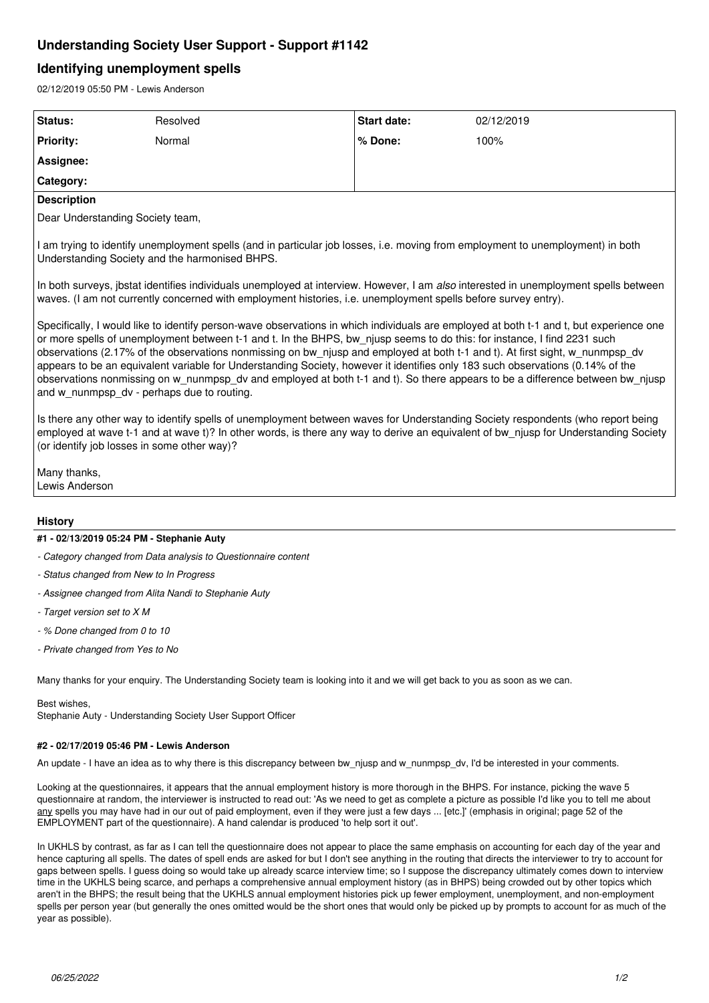## **Understanding Society User Support - Support #1142**

## **Identifying unemployment spells**

02/12/2019 05:50 PM - Lewis Anderson

| Status:                                                                                                                                                                                                                                                                                                                                                                                                                                                                                                                                                                                                                                                                                                              | Resolved | <b>Start date:</b> | 02/12/2019 |
|----------------------------------------------------------------------------------------------------------------------------------------------------------------------------------------------------------------------------------------------------------------------------------------------------------------------------------------------------------------------------------------------------------------------------------------------------------------------------------------------------------------------------------------------------------------------------------------------------------------------------------------------------------------------------------------------------------------------|----------|--------------------|------------|
| <b>Priority:</b>                                                                                                                                                                                                                                                                                                                                                                                                                                                                                                                                                                                                                                                                                                     | Normal   | % Done:            | 100%       |
| Assignee:                                                                                                                                                                                                                                                                                                                                                                                                                                                                                                                                                                                                                                                                                                            |          |                    |            |
| Category:                                                                                                                                                                                                                                                                                                                                                                                                                                                                                                                                                                                                                                                                                                            |          |                    |            |
| <b>Description</b>                                                                                                                                                                                                                                                                                                                                                                                                                                                                                                                                                                                                                                                                                                   |          |                    |            |
| Dear Understanding Society team,                                                                                                                                                                                                                                                                                                                                                                                                                                                                                                                                                                                                                                                                                     |          |                    |            |
| I am trying to identify unemployment spells (and in particular job losses, i.e. moving from employment to unemployment) in both<br>Understanding Society and the harmonised BHPS.                                                                                                                                                                                                                                                                                                                                                                                                                                                                                                                                    |          |                    |            |
| In both surveys, jbstat identifies individuals unemployed at interview. However, I am also interested in unemployment spells between<br>waves. (I am not currently concerned with employment histories, i.e. unemployment spells before survey entry).                                                                                                                                                                                                                                                                                                                                                                                                                                                               |          |                    |            |
| Specifically, I would like to identify person-wave observations in which individuals are employed at both t-1 and t, but experience one<br>or more spells of unemployment between t-1 and t. In the BHPS, bw_njusp seems to do this: for instance, I find 2231 such<br>observations (2.17% of the observations nonmissing on bw njusp and employed at both t-1 and t). At first sight, w nunmpsp dv<br>appears to be an equivalent variable for Understanding Society, however it identifies only 183 such observations (0.14% of the<br>observations nonmissing on w nunmpsp dv and employed at both t-1 and t). So there appears to be a difference between bw njusp<br>and w_nunmpsp_dv - perhaps due to routing. |          |                    |            |
| Is there any other way to identify spells of unemployment between waves for Understanding Society respondents (who report being<br>employed at wave t-1 and at wave t)? In other words, is there any way to derive an equivalent of bw njusp for Understanding Society<br>(or identify job losses in some other way)?                                                                                                                                                                                                                                                                                                                                                                                                |          |                    |            |
| Many thanks,<br>Lewis Anderson                                                                                                                                                                                                                                                                                                                                                                                                                                                                                                                                                                                                                                                                                       |          |                    |            |
| <b>History</b>                                                                                                                                                                                                                                                                                                                                                                                                                                                                                                                                                                                                                                                                                                       |          |                    |            |

# **#1 - 02/13/2019 05:24 PM - Stephanie Auty**

- *Category changed from Data analysis to Questionnaire content*
- *Status changed from New to In Progress*
- *Assignee changed from Alita Nandi to Stephanie Auty*
- *Target version set to X M*
- *% Done changed from 0 to 10*
- *Private changed from Yes to No*

Many thanks for your enquiry. The Understanding Society team is looking into it and we will get back to you as soon as we can.

Best wishes,

Stephanie Auty - Understanding Society User Support Officer

## **#2 - 02/17/2019 05:46 PM - Lewis Anderson**

An update - I have an idea as to why there is this discrepancy between bw njusp and w nunmpsp dv, I'd be interested in your comments.

Looking at the questionnaires, it appears that the annual employment history is more thorough in the BHPS. For instance, picking the wave 5 questionnaire at random, the interviewer is instructed to read out: 'As we need to get as complete a picture as possible I'd like you to tell me about any spells you may have had in our out of paid employment, even if they were just a few days ... [etc.]' (emphasis in original; page 52 of the EMPLOYMENT part of the questionnaire). A hand calendar is produced 'to help sort it out'.

In UKHLS by contrast, as far as I can tell the questionnaire does not appear to place the same emphasis on accounting for each day of the year and hence capturing all spells. The dates of spell ends are asked for but I don't see anything in the routing that directs the interviewer to try to account for gaps between spells. I guess doing so would take up already scarce interview time; so I suppose the discrepancy ultimately comes down to interview time in the UKHLS being scarce, and perhaps a comprehensive annual employment history (as in BHPS) being crowded out by other topics which aren't in the BHPS; the result being that the UKHLS annual employment histories pick up fewer employment, unemployment, and non-employment spells per person year (but generally the ones omitted would be the short ones that would only be picked up by prompts to account for as much of the year as possible).